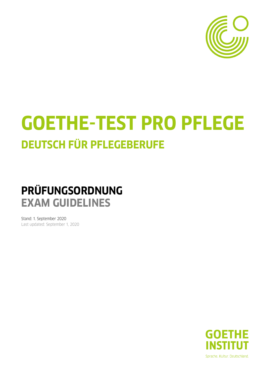

# **GOETHE-TEST PRO PFLEGE DEUTSCH FÜR PFLEGEBERUFE**

## **PRÜFUNGSORDNUNG EXAM GUIDELINES**

Stand: 1. September 2020 Last updated: September 1, 2020

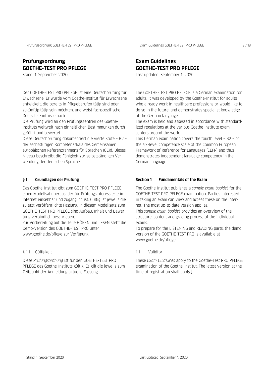#### **Prüfungsordnung GOETHE-TEST PRO PFLEGE**

Stand: 1. September 2020

Der GOETHE-TEST PRO PFLEGE ist eine Deutschprüfung für Erwachsene. Er wurde vom Goethe-Institut für Erwachsene entwickelt, die bereits in Pflegeberufen tätig sind oder zukünftig tätig sein möchten, und weist fachspezifische Deutschkenntnisse nach.

Die Prüfung wird an den Prüfungszentren des Goethe-Instituts weltweit nach einheitlichen Bestimmungen durchgeführt und bewertet.

Diese Deutschprüfung dokumentiert die vierte Stufe – B2 – der sechsstufigen Kompetenzskala des Gemeinsamen europäischen Referenzrahmens für Sprachen (GER). Dieses Niveau beschreibt die Fähigkeit zur selbstständigen Verwendung der deutschen Sprache.

#### **§ 1 Grundlagen der Prüfung**

Das Goethe-Institut gibt zum GOETHE-TEST PRO PFLEGE einen Modellsatz heraus, der für Prüfungsinteressierte im Internet einsehbar und zugänglich ist. Gültig ist jeweils die zuletzt veröffentlichte Fassung. In diesem Modellsatz zum GOETHE-TEST PRO PFLEGE sind Aufbau, Inhalt und Bewertung verbindlich beschrieben.

Zur Vorbereitung auf die Teile HÖREN und LESEN steht die Demo-Version des GOETHE-TEST PRO unter www.goethe.de/pflege zur Verfügung.

#### § 1.1 Gültigkeit

Diese *Prüfungsordnung* ist für den GOETHE-TEST PRO PFLEGE des Goethe-Instituts gültig. Es gilt die jeweils zum Zeitpunkt der Anmeldung aktuelle Fassung.

### **Exam Guidelines GOETHE-TEST PRO PFLEGE**

Last updated: September 1, 2020

The GOETHE-TEST PRO PFLEGE is a German examination for adults. It was developed by the Goethe-Institut for adults who already work in healthcare professions or would like to do so in the future, and demonstrates specialist knowledge of the German language.

The exam is held and assessed in accordance with standardized regulations at the various Goethe Institute exam centers around the world.

This German examination covers the fourth level – B2 – of the six-level competence scale of the Common European Framework of Reference for Languages (CEFR) and thus demonstrates independent language competency in the German language.

#### **Section 1 Fundamentals of the Exam**

The Goethe-Institut publishes a *sample exam booklet* for the GOETHE-TEST PRO PFLEGE examination. Parties interested in taking an exam can view and access these on the Internet. The most up-to-date version applies.

This *sample exam booklet* provides an overview of the structure, content and grading process of the individual exams.

To prepare for the LISTENING and READING parts, the demo version of the GOETHE-TEST PRO is available at www.goethe.de/pflege.

#### 1.1 Validity

These *Exam Guidelines* apply to the Goethe-Test PRO PFLEGE examination of the Goethe-Institut. The latest version at the time of registration shall apply.**]**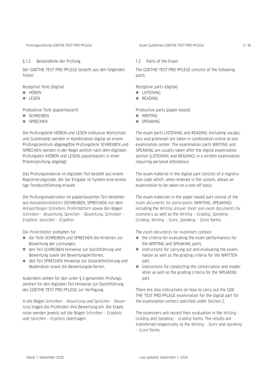#### § 1.2 Bestandteile der Prüfung

Der GOETHE-TEST PRO PFLEGE besteht aus den folgenden Teilen:

Rezeptive Teile (digital)

- **HÖREN**
- LESEN

Produktive Teile (papierbasiert)

- SCHREIBEN
- **SPRECHEN**

Die Prüfungsteile HÖREN und LESEN (inklusive Wortschatz und Grammatik) werden in Kombination digital an einem Prüfungszentrum abgelegtDie Prüfungsteile SCHREIBEN und SPRECHEN werden in der Regel zeitlich nach dem digitalen Prüfungsteil (HÖREN und LESEN) papierbasiert in einer Präsenzprüfung abgelegt.

Das Prüfungsmaterial im digitalen Teil besteht aus einem Registrierungscode, der bei Eingabe im System eine einmalige Testdurchführung erlaubt.

Die Prüfungsmaterialien im papierbasierten Teil bestehen aus *Kandidatenblättern* (SCHREIBEN, SPRECHEN) mit dem *Antwortbogen Schreiben*, *Prüferblättern* sowie den Bögen *Schreiben – Bewertung*, *Sprechen – Bewertung*, *Schreiben – Ergebnis*, *Sprechen – Ergebnis.*

Die *Prüferblätter* enthalten für

- die Teile SCHREIBEN und SPRECHEN die Kriterien zur Bewertung der Leistungen,
- den Teil SCHREIBEN Hinweise zur Durchführung und Bewertung sowie die Bewertungskriterien,
- den Teil SPRECHEN Hinweise zur Gesprächsführung und Moderation sowie die Bewertungskriterien.

Außerdem stehen für den unter § 2 genannten Prüfungszentren für den digitalen Teil Hinweise zur Durchführung des GOETHE-TEST PRO PFLEGE zur Verfügung.

In die Bögen *Schreiben – Bewertung* und *Sprechen – Bewertung* tragen die Prüfenden ihre Bewertung ein. Die Ergebnisse werden jeweils auf die Bögen *Schreiben – Ergebnis* und *Sprechen – Ergebnis* übertragen.

The GOETHE-TEST PRO PFLEGE consists of the following parts:

Receptive parts (digital)

- **LISTENING**
- **READING**

Productive parts (paper-based)

- **NRITING**
- SPEAKING

The exam parts LISTENING and READING (including vocabulary and grammar) are taken in combination online at one examination center. The examination parts WRITING and SPEAKING are usually taken after the digital examination section (LISTENING and READING) in a written examination requiring personal attendance.

The exam material in the digital part consists of a registration code which, when entered in the system, allows an examination to be taken on a one-off basis.

The exam materials in the paper-based part consist of the *exam documents for participants* (WRITING, SPEAKING) including the *Writing answer sheet and exam documents for examiners* as well as the *Writing – Grading, Speaking – Grading, Writing – Score, Speaking – Score* forms.

The *exam documents for examiners* contain

- $\blacksquare$  the criteria for evaluating the exam performances for the WRITING and SPEAKING parts,
- instructions for carrying out and evaluating the examination as well as the grading criteria for the WRITTEN part
- $\blacksquare$  instructions for conducting the conversation and moderation as well as the grading criteria for the SPEAKING part.

There are also instructions on how to carry out the GOE-THE-TEST PRO PFLEGE examination for the digital part for the examination centers specified under Section 2.

The examiners will record their evaluation in the *Writing – Grading* and *Speaking – Grading* forms. The results are transferred respectively to the *Writing – Score* and *Speaking – Score* forms.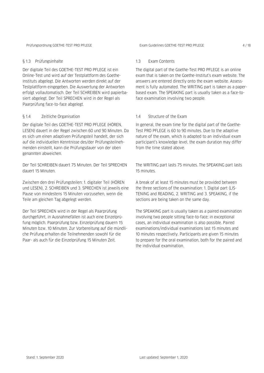#### § 1.3 Prüfungsinhalte

Der digitale Teil des GOETHE-TEST PRO PFLEGE ist ein Online-Test und wird auf der Testplattform des Goethe-Instituts abgelegt. Die Antworten werden direkt auf der Testplattform eingegeben. Die Auswertung der Antworten erfolgt vollautomatisch. Der Teil SCHREIBEN wird papierbasiert abgelegt. Der Teil SPRECHEN wird in der Regel als Paarprüfung face-to-face abgelegt.

#### § 1.4 Zeitliche Organisation

Der digitale Teil des GOETHE-TEST PRO PFLEGE (HÖREN, LESEN) dauert in der Regel zwischen 60 und 90 Minuten. Da es sich um einen adaptiven Prüfungsteil handelt, der sich auf die individuellen Kenntnisse des/der Prüfungsteilnehmenden einstellt, kann die Prüfungsdauer von der oben genannten abweichen.

Der Teil SCHREIBEN dauert 75 Minuten. Der Teil SPRECHEN dauert 15 Minuten.

Zwischen den drei Prüfungsteilen: 1. digitaler Teil (HÖREN und LESEN), 2. SCHREIBEN und 3. SPRECHEN ist jeweils eine Pause von mindestens 15 Minuten vorzusehen, wenn die Teile am gleichen Tag abgelegt werden.

Der Teil SPRECHEN wird in der Regel als Paarprüfung durchgeführt, in Ausnahmefällen ist auch eine Einzelprüfung möglich. Paarprüfung bzw. Einzelprüfung dauern 15 Minuten bzw. 10 Minuten. Zur Vorbereitung auf die mündliche Prüfung erhalten die Teilnehmenden sowohl für die Paar- als auch für die Einzelprüfung 15 Minuten Zeit.

#### 1.3 Exam Contents

The digital part of the Goethe-Test PRO PFLEGE is an online exam that is taken on the Goethe-Institut's exam website. The answers are entered directly onto the exam website. Assessment is fully automated. The WRITING part is taken as a paperbased exam. The SPEAKING part is usually taken as a face-toface examination involving two people.

#### 1.4 Structure of the Exam

In general, the exam time for the digital part of the Goethe-Test PRO PFLEGE is 60 to 90 minutes. Due to the adaptive nature of the exam, which is adapted to an individual exam participant's knowledge level, the exam duration may differ from the time stated above.

The WRITING part lasts 75 minutes. The SPEAKING part lasts 15 minutes.

A break of at least 15 minutes must be provided between the three sections of the examination: 1. Digital part (LIS-TENING and READING, 2. WRITING and 3. SPEAKING, if the sections are being taken on the same day.

The SPEAKING part is usually taken as a paired examination involving two people sitting face-to-face; in exceptional cases, an individual examination is also possible. Paired examinations/individual examinations last 15 minutes and 10 minutes respectively. Participants are given 15 minutes to prepare for the oral examination, both for the paired and the individual examination.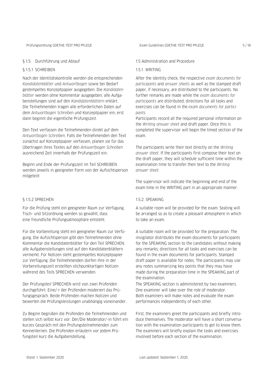#### § 1.5 Durchführung und Ablauf

#### § 1.5.1 SCHREIBEN

Nach der Identitätskontrolle werden die entsprechenden *Kandidatenblätter* und *Antwortbogen* sowie bei Bedarf gestempeltes Konzeptpapier ausgegeben. Die *Kandidatenblätter* werden ohne Kommentar ausgegeben; alle Aufgabenstellungen sind auf den *Kandidatenblättern* erklärt. Die Teilnehmenden tragen alle erforderlichen Daten auf dem *Antwortbogen Schreiben* und Konzeptpapier ein; erst dann beginnt die eigentliche Prüfungszeit.

Den Text verfassen die Teilnehmenden direkt auf dem *Antwortbogen Schreiben*. Falls die Teilnehmenden den Text zunächst auf Konzeptpapier verfassen, planen sie für das Übertragen ihres Textes auf den *Antwortbogen Schreiben* ausreichend Zeit innerhalb der Prüfungszeit ein.

Beginn und Ende der Prüfungszeit im Teil SCHREIBEN werden jeweils in geeigneter Form von der Aufsichtsperson mitgeteilt

#### § 1.5.2 SPRECHEN

Für die Prüfung steht ein geeigneter Raum zur Verfügung. Tisch- und Sitzordnung werden so gewählt, dass eine freundliche Prüfungsatmosphäre entsteht.

Für die Vorbereitung steht ein geeigneter Raum zur Verfügung. Die Aufsichtsperson gibt den Teilnehmenden ohne Kommentar die Kandidatenblätter für den Teil SPRECHEN; alle Aufgabenstellungen sind auf den Kandidatenblättern vermerkt. Für Notizen steht gestempeltes Konzeptpapier zur Verfügung. Die Teilnehmenden dürfen ihre in der Vorbereitungszeit erstellten stichpunktartigen Notizen während des Teils SPRECHEN verwenden.

Der Prüfungsteil SPRECHEN wird von zwei Prüfenden durchgeführt. Eine/-r der Prüfenden moderiert das Prüfungsgespräch. Beide Prüfenden machen Notizen und bewerten die Prüfungsleistungen unabhängig voneinander.

Zu Beginn begrüßen die Prüfenden die Teilnehmenden und stellen sich selbst kurz vor. Der/Die Moderator/-in führt ein kurzes Gespräch mit den Prüfungsteilnehmenden zum Kennenlernen. Die Prüfenden erläutern vor jedem Prüfungsteil kurz die Aufgabenstellung.

1.5 Administration and Procedure

#### 1.5.1 WRITING

After the identity check, the respective *exam documents for participants* and *answer sheets* as well as the stamped draft paper, if necessary, are distributed to the participants. No further remarks are made while the *exam documents for participants* are distributed; directions for all tasks and exercises can be found in the *exam documents for participants*.

Participants record all the required personal information on the *Writing answer sheet* and draft paper. Once this is completed the supervisor will begin the timed section of the exam.

The participants write their text directly on the *Writing answer sheet*. If the participants first compose their text on the draft paper, they will schedule sufficient time within the examination time to transfer their text to the *Writing answer sheet.*

The supervisor will indicate the beginning and end of the exam time in the WRITING part in an appropriate manner.

#### 1.5.2. SPEAKING

A suitable room will be provided for the exam. Seating will be arranged so as to create a pleasant atmosphere in which to take an exam.

A suitable room will be provided for the preparation. The invigilator distributes the exam documents for participants for the SPEAKING section to the candidates without making any remarks; directions for all tasks and exercises can be found in the exam documents for participants. Stamped draft paper is available for notes. The participants may use any notes summarizing key points that they may have made during the preparation time in the SPEAKING part of the examination.

The SPEAKING section is administered by two examiners. One examiner will take over the role of moderator. Both examiners will make notes and evaluate the exam performances independently of each other.

First, the examiners greet the participants and briefly introduce themselves. The moderator will have a short conversation with the examination participants to get to know them. The examiners will briefly explain the tasks and exercises involved before each section of the examination.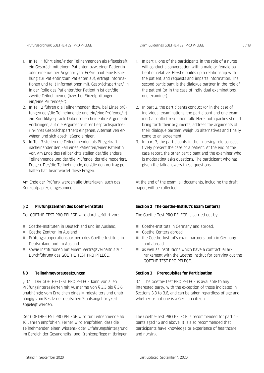Prüfungsordnung GOETHE-TEST PRO PFLEGE EXam Guidelines GOETHE-TEST PRO PFLEGE 6/18

- 1. In Teil 1 führt eine/-r der Teilnehmenden als Pflegekraft ein Gespräch mit einem Patienten bzw. einer Patientin oder einem/einer Angehörigen. Er/Sie baut eine Beziehung zur Patientin/zum Patienten auf, erfragt Informationen und teilt Informationen mit. Gesprächspartner/-in in der Rolle des Patienten/der Patientin ist der/die zweite Teilnehmende (bzw. bei Einzelprüfungen ein/eine Prüfende/-r).
- 2. In Teil 2 führen die Teilnehmenden (bzw. bei Einzelprüfungen der/die Teilnehmende und ein/eine Prüfende/-r) ein Konfliktgespräch. Dabei sollen beide ihre Argumente vorbringen, auf die Argumente ihrer Gesprächspartnerin/ihres Gesprächspartners eingehen, Alternativen erwägen und sich abschließend einigen.
- 3. In Teil 3 stellen die Teilnehmenden als Pflegekraft nacheinander den Fall eines Patienten/einer Patientin vor. Am Ende des Fallberichts stellen der/die andere Teilnehmende und der/die Prüfende, der/die moderiert, Fragen. Der/die Teilnehmende, der/die den Vortrag gehalten hat, beantwortet diese Fragen.

Am Ende der Prüfung werden alle Unterlagen, auch das Konzeptpapier, eingesammelt.

#### **§ 2 Prüfungszentren des Goethe-Instituts**

Der GOETHE-TEST PRO PFLEGE wird durchgeführt von:

- Goethe-Instituten in Deutschland und im Ausland.
- Goethe-Zentren im Ausland
- Prüfungskooperationspartnern des Goethe-Instituts in Deutschland und im Ausland
- sowie Institutionen mit einem Vertragsverhältnis zur Durchführung des GOETHE-TEST PRO PFLEGE.

#### **§ 3 Teilnahmevoraussetzungen**

§ 3.1 Der GOETHE-TEST PRO PFLEGE kann von allen Prüfungsinteressierten mit Ausnahme von § 3.3 bis § 3.6 unabhängig vom Erreichen eines Mindestalters und unabhängig vom Besitz der deutschen Staatsangehörigkeit abgelegt werden.

Der GOETHE-TEST PRO PFLEGE wird für Teilnehmende ab 16 Jahren empfohlen. Ferner wird empfohlen, dass die Teilnehmenden einen Wissens- oder Erfahrungshintergrund im Bereich der Gesundheits- und Krankenpflege mitbringen.

- 1. In part 1, one of the participants in the role of a nurse will conduct a conversation with a male or female patient or relative. He/she builds up a relationship with the patient, and requests and imparts information. The second participant is the dialogue partner in the role of the patient (or in the case of individual examinations, one examiner).
- 2. In part 2, the participants conduct (or in the case of individual examinations, the participant and one examiner) a conflict resolution talk. Here, both parties should bring forth their arguments, address the arguments of their dialogue partner, weigh up alternatives and finally come to an agreement.
- 3. In part 3, the participants in their nursing role consecutively present the case of a patient. At the end of the case report, the other participant and the examiner who is moderating asks questions. The participant who has given the talk answers these questions.

At the end of the exam, all documents, including the draft paper, will be collected.

#### **Section 2 The Goethe-Institut's Exam Centers]**

The Goethe-Test PRO PFLEGE is carried out by:

- Goethe-Instituts in Germany and abroad,
- Goethe-Centers abroad
- $\blacksquare$  the Goethe-Institut's exam partners, both in Germany and abroad.
- as well as institutions which have a contractual arrangement with the Goethe-Institut for carrying out the GOETHE-TEST PRO PFLEGE.

#### **Section 3 Prerequisites for Participation**

3.1 The Goethe-Test PRO PFLEGE is available to any interested party, with the exception of those indicated in Sections 3.3 to 3.6, and can be taken regardless of age and whether or not one is a German citizen.

The Goethe-Test PRO PFLEGE is recommended for participants aged 16 and above. It is also recommended that participants have knowledge or experience of healthcare and nursing.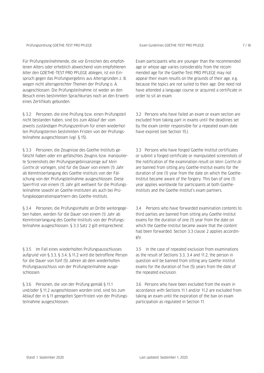Für Prüfungsteilnehmende, die vor Erreichen des empfohlenen Alters oder erheblich abweichend vom empfohlenen Alter den GOETHE-TEST PRO PFLEGE ablegen, ist ein Einspruch gegen das Prüfungsergebnis aus Altersgründen z. B. wegen nicht altersgerechter Themen der Prüfung o. Ä. ausgeschlossen. Die Prüfungsteilnahme ist weder an den Besuch eines bestimmten Sprachkurses noch an den Erwerb eines Zertifikats gebunden.

§ 3.2 Personen, die eine Prüfung bzw. einen Prüfungsteil nicht bestanden haben, sind bis zum Ablauf der vom jeweils zuständigen Prüfungszentrum für einen wiederholten Prüfungstermin bestimmten Fristen von der Prüfungsteilnahme ausgeschlossen (vgl. § 15).

§ 3.3 Personen, die Zeugnisse des Goethe-Instituts gefälscht haben oder ein gefälschtes Zeugnis bzw. manipulierte Screenshots der Prüfungsergebnisanzeige auf *Mein Goethe.de* vorlegen, sind für die Dauer von einem (1) Jahr ab Kenntniserlangung des Goethe-Instituts von der Fälschung von der Prüfungsteilnahme ausgeschlossen. Diese Sperrfrist von einem (1) Jahr gilt weltweit für die Prüfungsteilnahme sowohl an Goethe-Instituten als auch bei Prüfungskooperationspartnern des Goethe-Instituts.

§ 3.4 Personen, die Prüfungsinhalte an Dritte weitergegeben haben, werden für die Dauer von einem (1) Jahr ab Kenntniserlangung des Goethe-Instituts von der Prüfungsteilnahme ausgeschlossen. § 3.3 Satz 2 gilt entsprechend.

§ 3.5 Im Fall eines wiederholten Prüfungsausschlusses aufgrund von § 3.3, § 3.4, § 11.2 wird die betroffene Person für die Dauer von fünf (5) Jahren ab dem wiederholten Prüfungsausschluss von der Prüfungsteilnahme ausgeschlossen.

§ 3.6 Personen, die von der Prüfung gemäß § 11.1 und/oder § 11.2 ausgeschlossen worden sind, sind bis zum Ablauf der in § 11 geregelten Sperrfristen von der Prüfungsteilnahme ausgeschlossen.

Exam participants who are younger than the recommended age or whose age varies considerably from the recommended age for the Goethe-Test PRO PFLEGE may not appeal their exam results on the grounds of their age, e.g. because the topics are not suited to their age. One need not have attended a language course or acquired a certificate in order to sit an exam.

3.2 Persons who have failed an exam or exam section are excluded from taking part in exams until the deadlines set by the exam center responsible for a repeated exam date have expired (see Section 15.).

3.3 Persons who have forged Goethe-Institut certificates or submit a forged certificate or manipulated screenshots of the notification of the examination result on *Mein Goethe.de* are banned from sitting any Goethe-Institut exams for the duration of one (1) year from the date on which the Goethe-Institut became aware of the forgery. This ban of one (1) year applies worldwide for participants at both Goethe-Instituts and the Goethe-Institut's exam partners.

3.4 Persons who have forwarded examination contents to third parties are banned from sitting any Goethe-Institut exams for the duration of one (1) year from the date on which the Goethe-Institut became aware that the content had been forwarded. Section 3.3 clause 2 applies accordingly.

3.5 In the case of repeated exclusion from examinations as the result of Sections 3.3, 3.4 and 11.2, the person in question will be banned from sitting any Goethe-Institut exams for the duration of five (5) years from the date of the repeated exclusion.

3.6 Persons who have been excluded from the exam in accordance with Sections 11.1 and/or 11.2 are excluded from taking an exam until the expiration of the ban on exam participation as regulated in Section 11.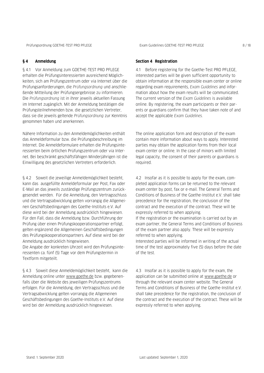#### **§ 4 Anmeldung**

§ 4.1 Vor Anmeldung zum GOETHE-TEST PRO PFLEGE erhalten die Prüfungsinteressierten ausreichend Möglichkeiten, sich am Prüfungszentrum oder via Internet über die Prüfungsanforderungen, die *Prüfungsordnung* und anschließende Mitteilung der Prüfungsergebnisse zu informieren. Die *Prüfungsordnung* ist in ihrer jeweils aktuellen Fassung im Internet zugänglich. Mit der Anmeldung bestätigen die Prüfungsteilnehmenden bzw. die gesetzlichen Vertreter, dass sie die jeweils geltende *Prüfungsordnung* zur Kenntnis genommen haben und anerkennen.

Nähere Information zu den Anmeldemöglichkeiten enthält das Anmeldeformular bzw. die Prüfungsbeschreibung im Internet. Die Anmeldeformulare erhalten die Prüfungsinteressierten beim örtlichen Prüfungszentrum oder via Internet. Bei beschränkt geschäftsfähigen Minderjährigen ist die Einwilligung des gesetzlichen Vertreters erforderlich.

§ 4.2 Soweit die jeweilige Anmeldemöglichkeit besteht, kann das ausgefüllte Anmeldeformular per Post, Fax oder E-Mail an das jeweils zuständige Prüfungszentrum zurückgesendet werden. Für die Anmeldung, den Vertragsschluss und die Vertragsabwicklung gelten vorrangig die Allgemeinen Geschäftsbedingungen des Goethe-Instituts e.V. Auf diese wird bei der Anmeldung ausdrücklich hingewiesen. Für den Fall, dass die Anmeldung bzw. Durchführung der Prüfung über einen Prüfungskooperationspartner erfolgt, gelten ergänzend die Allgemeinen Geschäftsbedingungen des Prüfungskooperationspartners. Auf diese wird bei der Anmeldung ausdrücklich hingewiesen.

Die Angabe der konkreten Uhrzeit wird den Prüfungsinteressenten ca. fünf (5) Tage vor dem Prüfungstermin in Textform mitgeteilt.

§ 4.3 Soweit diese Anmeldemöglichkeit besteht, kann die Anmeldung online unter [www.goethe.de](http://www.goethe.de/pruefungen) bzw. gegebenenfalls über die Website des jeweiligen Prüfungszentrums erfolgen. Für die Anmeldung, den Vertragsschluss und die Vertragsabwicklung gelten vorrangig die Allgemeinen Geschäftsbedingungen des Goethe-Instituts e.V. Auf diese wird bei der Anmeldung ausdrücklich hingewiesen.

#### **Section 4 Registration**

4.1 Before registering for the Goethe-Test PRO PFLEGE, interested parties will be given sufficient opportunity to obtain information at the responsible exam center or online regarding exam requirements, *Exam Guidelines* and information about how the exam results will be communicated. The current version of the *Exam Guidelines* is available online. By registering, the exam participants or their parents or guardians confirm that they have taken note of and accept the applicable *Exam Guidelines.*

The online application form and description of the exam contain more information about ways to apply. Interested parties may obtain the application forms from their local exam center or online. In the case of minors with limited legal capacity, the consent of their parents or guardians is required.

4.2 Insofar as it is possible to apply for the exam, completed application forms can be returned to the relevant exam center by post, fax or e-mail. The General Terms and Conditions of Business of the Goethe-Institut e.V. shall take precedence for the registration, the conclusion of the contract and the execution of the contract. These will be expressly referred to when applying.

If the registration or the examination is carried out by an exam partner, the General Terms and Conditions of Business of the exam partner also apply. These will be expressly referred to when applying.

Interested parties will be informed in writing of the actual time of the test approximately five (5) days before the date of the test.

4.3 Insofar as it is possible to apply for the exam, the application can be submitted online at [www.goethe.de](http://www.goethe.de/) or through the relevant exam center website. The General Terms and Conditions of Business of the Goethe-Institut e.V. shall take precedence for the registration, the conclusion of the contract and the execution of the contract. These will be expressly referred to when applying.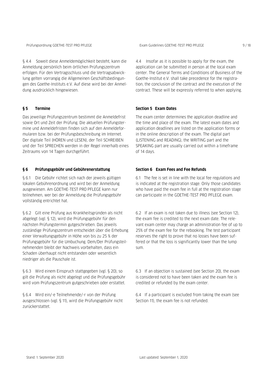§ 4.4 Soweit diese Anmeldemöglichkeit besteht, kann die Anmeldung persönlich beim örtlichen Prüfungszentrum erfolgen. Für den Vertragsschluss und die Vertragsabwicklung gelten vorrangig die Allgemeinen Geschäftsbedingungen des Goethe-Instituts e.V. Auf diese wird bei der Anmeldung ausdrücklich hingewiesen.

#### **§ 5 Termine**

Das jeweilige Prüfungszentrum bestimmt die Anmeldefrist sowie Ort und Zeit der Prüfung. Die aktuellen Prüfungstermine und Anmeldefristen finden sich auf den Anmeldeformularen bzw. bei der Prüfungsbeschreibung im Internet. Der digitale Teil (HÖREN und LESEN), der Teil SCHREIBEN und der Teil SPRECHEN werden in der Regel innerhalb eines Zeitraums von 14 Tagen durchgeführt.

#### **§ 6 Prüfungsgebühr und Gebührenerstattung**

§ 6.1 Die Gebühr richtet sich nach der jeweils gültigen lokalen Gebührenordnung und wird bei der Anmeldung ausgewiesen. Am GOETHE-TEST PRO PFLEGE kann nur teilnehmen, wer bei der Anmeldung die Prüfungsgebühr vollständig entrichtet hat.

§ 6.2 Gilt eine Prüfung aus Krankheitsgründen als nicht abgelegt (vgl. § 12), wird die Prüfungsgebühr für den nächsten Prüfungstermin gutgeschrieben. Das jeweils zuständige Prüfungszentrum entscheidet über die Erhebung einer Verwaltungsgebühr in Höhe von bis zu 25 % der Prüfungsgebühr für die Umbuchung. Dem/Der Prüfungsteilnehmenden bleibt der Nachweis vorbehalten, dass ein Schaden überhaupt nicht entstanden oder wesentlich niedriger als die Pauschale ist.

§ 6.3 Wird einem Einspruch stattgegeben (vgl. § 20), so gilt die Prüfung als nicht abgelegt und die Prüfungsgebühr wird vom Prüfungszentrum gutgeschrieben oder erstattet.

§ 6.4 Wird ein/-e Teilnehmende/-r von der Prüfung ausgeschlossen (vgl. § 11), wird die Prüfungsgebühr nicht zurückerstattet.

4.4 Insofar as it is possible to apply for the exam, the application can be submitted in person at the local exam center. The General Terms and Conditions of Business of the Goethe-Institut e.V. shall take precedence for the registration, the conclusion of the contract and the execution of the contract. These will be expressly referred to when applying.

#### **Section 5 Exam Dates**

The exam center determines the application deadline and the time and place of the exam. The latest exam dates and application deadlines are listed on the application forms or in the online description of the exam. The digital part (LISTENING and READING), the WRITING part and the SPEAKING part are usually carried out within a timeframe of 14 days.

#### **Section 6 Exam Fees and Fee Refunds**

6.1 The fee is set in line with the local fee regulations and is indicated at the registration stage. Only those candidates who have paid the exam fee in full at the registration stage can participate in the GOETHE-TEST PRO PFLEGE exam.

6.2 If an exam is not taken due to illness (see Section 12), the exam fee is credited to the next exam date. The relevant exam center may charge an administration fee of up to 25% of the exam fee for the rebooking. The test participant reserves the right to prove that no losses have been suffered or that the loss is significantly lower than the lump sum.

6.3 If an objection is sustained (see Section 20), the exam is considered not to have been taken and the exam fee is credited or refunded by the exam center.

6.4 If a participant is excluded from taking the exam (see Section 11), the exam fee is not refunded.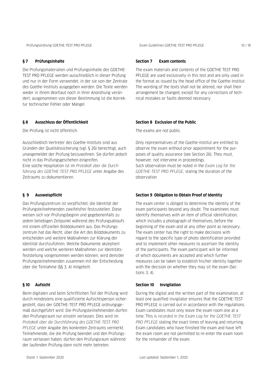#### **§ 7 Prüfungsinhalte**

Die Prüfungsmaterialien und Prüfungsinhalte des GOETHE-TEST PRO PFLEGE werden ausschließlich in dieser Prüfung und nur in der Form verwendet, in der sie von der Zentrale des Goethe-Instituts ausgegeben werden. Die Texte werden weder in ihrem Wortlaut noch in ihrer Anordnung verändert; ausgenommen von dieser Bestimmung ist die Korrektur technischer Fehler oder Mängel.

#### **§ 8 Ausschluss der Öffentlichkeit**

Die Prüfung ist nicht öffentlich.

Ausschließlich Vertreter des Goethe-Instituts sind aus Gründen der Qualitätssicherung (vgl. § 26) berechtigt, auch unangemeldet der Prüfung beizuwohnen. Sie dürfen jedoch nicht in das Prüfungsgeschehen eingreifen. Eine solche Hospitation ist im *Protokoll über die Durchführung des GOETHE-TEST PRO PFLEGE* unter Angabe des Zeitraums zu dokumentieren.

#### **§ 9 Ausweispflicht**

Das Prüfungszentrum ist verpflichtet, die Identität der Prüfungsteilnehmenden zweifelsfrei festzustellen. Diese weisen sich vor Prüfungsbeginn und gegebenenfalls zu jedem beliebigen Zeitpunkt während des Prüfungsablaufs mit einem offiziellen Bilddokument aus. Das Prüfungszentrum hat das Recht, über die Art des Bilddokuments zu entscheiden und weitere Maßnahmen zur Klärung der Identität durchzuführen. Welche Dokumente akzeptiert werden und welche weiteren Maßnahmen zur Identitätsfeststellung vorgenommen werden können, wird dem/der Prüfungsteilnehmenden zusammen mit der Entscheidung über die Teilnahme (§§ 3, 4) mitgeteilt.

#### **§ 10 Aufsicht**

Beim digitalen und beim Schriftlichen Teil der Prüfung wird durch mindestens eine qualifizierte Aufsichtsperson sichergestellt, dass der GOETHE-TEST PRO PFLEGE ordnungsgemäß durchgeführt wird. Die Prüfungsteilnehmenden dürfen den Prüfungsraum nur einzeln verlassen. Dies wird im *Protokoll über die Durchführung des GOETHE-TEST PRO PFLEGE* unter Angabe des konkreten Zeitraums vermerkt. Teilnehmende, die die Prüfung beendet und den Prüfungsraum verlassen haben, dürfen den Prüfungsraum während der laufenden Prüfung dann nicht mehr betreten.

#### **Section 7 Exam contents**

The exam materials and contents of the GOETHE TEST PRO PFLEGE are used exclusively in this test and are only used in the format as issued by the head office of the Goethe-Institut. The wording of the texts shall not be altered, nor shall their arrangement be changed, except for any corrections of technical mistakes or faults deemed necessary.

#### **Section 8 Exclusion of the Public**

The exams are not public.

Only representatives of the Goethe-Institut are entitled to observe the exam without prior appointment for the purposes of quality assurance (see Section 26). They must, however, not intervene in proceedings. Such observation must be noted in the *Exam Log for the GOETHE-TEST PRO PFLEGE*, stating the duration of the observation

#### **Section 9 Obligation to Obtain Proof of Identity**

The exam center is obliged to determine the identity of the exam participants beyond any doubt. The examinees must identify themselves with an item of official identification, which includes a photograph of themselves, before the beginning of the exam and at any other point as necessary. The exam center has the right to make decisions with regard to the specific type of photo identification provided and to implement other measures to ascertain the identity of the participants. The exam participant will be informed of which documents are accepted and which further measures can be taken to establish his/her identity together with the decision on whether they may sit the exam (Sections  $3, 4$ ).

#### **Section 10 Invigilation**

During the digital and the written part of the examination, at least one qualified invigilator ensures that the GOETHE-TEST PRO PFLEGE is carried out in accordance with the regulations. Exam candidates must only leave the exam room one at a time. This is *recorded in the Exam Log for the GOETHE-TEST PRO PFLEGE* stating the exact times of leaving and returning. Exam candidates who have finished the exam and have left the exam room are not permitted to re-enter the exam room for the remainder of the exam.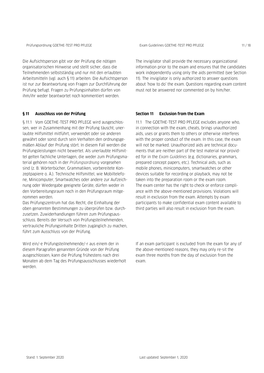Prüfungsordnung GOETHE-TEST PRO PFLEGE EXam Guidelines GOETHE-TEST PRO PFLEGE 11/18

Die Aufsichtsperson gibt vor der Prüfung die nötigen organisatorischen Hinweise und stellt sicher, dass die Teilnehmenden selbstständig und nur mit den erlaubten Arbeitsmitteln (vgl. auch § 11) arbeiten. Die Aufsichtsperson ist nur zur Beantwortung von Fragen zur Durchführung der Prüfung befugt. Fragen zu Prüfungsinhalten dürfen von ihm/ihr weder beantwortet noch kommentiert werden.

#### **§ 11 Ausschluss von der Prüfung**

§ 11.1 Vom GOETHE-TEST PRO PFLEGE wird ausgeschlossen, wer in Zusammenhang mit der Prüfung täuscht, unerlaubte Hilfsmittel mitführt, verwendet oder sie anderen gewährt oder sonst durch sein Verhalten den ordnungsgemäßen Ablauf der Prüfung stört. In diesem Fall werden die Prüfungsleistungen nicht bewertet. Als unerlaubte Hilfsmittel gelten fachliche Unterlagen, die weder zum Prüfungsmaterial gehören noch in der *Prüfungsordnung* vorgesehen sind (z. B. Wörterbücher, Grammatiken, vorbereitete Konzeptpapiere o. Ä.). Technische Hilfsmittel, wie Mobiltelefone, Minicomputer, Smartwatches oder andere zur Aufzeichnung oder Wiedergabe geeignete Geräte, dürfen weder in den Vorbereitungsraum noch in den Prüfungsraum mitgenommen werden.

Das Prüfungszentrum hat das Recht, die Einhaltung der oben genannten Bestimmungen zu überprüfen bzw. durchzusetzen. Zuwiderhandlungen führen zum Prüfungsausschluss. Bereits der Versuch von Prüfungsteilnehmenden, vertrauliche Prüfungsinhalte Dritten zugänglich zu machen, führt zum Ausschluss von der Prüfung.

Wird ein/-e Prüfungsteilnehmende/-r aus einem der in diesem Paragrafen genannten Gründe von der Prüfung ausgeschlossen, kann die Prüfung frühestens nach drei Monaten ab dem Tag des Prüfungsausschlusses wiederholt werden.

The invigilator shall provide the necessary organizational information prior to the exam and ensures that the candidates work independently using only the aids permitted (see Section 11). The invigilator is only authorized to answer questions about 'how to do' the exam. Questions regarding exam content must not be answered nor commented on by him/her.

#### **Section 11 Exclusion from the Exam**

11.1 The GOETHE-TEST PRO PFLEGE excludes anyone who, in connection with the exam, cheats, brings unauthorized aids, uses or grants them to others or otherwise interferes with the proper conduct of the exam. In this case, the exam will not be marked. Unauthorized aids are technical documents that are neither part of the test material nor provided for in the *Exam Guidelines* (e.g. dictionaries, grammars, prepared concept papers, etc.). Technical aids, such as mobile phones, minicomputers, smartwatches or other devices suitable for recording or playback, may not be taken into the preparation room or the exam room. The exam center has the right to check or enforce compliance with the above-mentioned provisions. Violations will result in exclusion from the exam. Attempts by exam participants to make confidential exam content available to third parties will also result in exclusion from the exam.

If an exam participant is excluded from the exam for any of the above-mentioned reasons, they may only re-sit the exam three months from the day of exclusion from the exam.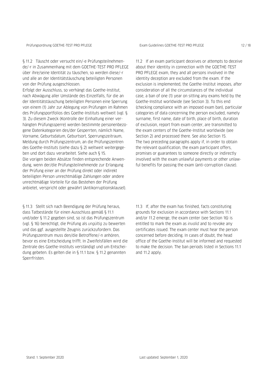§ 11.2 Täuscht oder versucht ein/-e Prüfungsteilnehmende/-r in Zusammenhang mit dem GOETHE-TEST PRO PFLEGE über ihre/seine Identität zu täuschen, so werden diese/-r und alle an der Identitätstäuschung beteiligten Personen von der Prüfung ausgeschlossen.

Erfolgt der Ausschluss, so verhängt das Goethe-Institut, nach Abwägung aller Umstände des Einzelfalls, für die an der Identitätstäuschung beteiligten Personen eine Sperrung von einem (1) Jahr zur Ablegung von Prüfungen im Rahmen des Prüfungsportfolios des Goethe-Instituts weltweit (vgl. § 3). Zu diesem Zweck (Kontrolle der Einhaltung einer verhängten Prüfungssperre) werden bestimmte personenbezogene Datenkategorien des/der Gesperrten, nämlich Name, Vorname, Geburtsdatum, Geburtsort, Sperrungszeitraum, Meldung durch Prüfungszentrum, an die Prüfungszentren des Goethe-Instituts (siehe dazu § 2) weltweit weitergegeben und dort dazu verarbeitet. Siehe auch § 15. Die vorigen beiden Absätze finden entsprechende Anwendung, wenn der/die Prüfungsteilnehmende zur Erlangung der Prüfung einer an der Prüfung direkt oder indirekt beteiligten Person unrechtmäßige Zahlungen oder andere unrechtmäßige Vorteile für das Bestehen der Prüfung anbietet, verspricht oder gewährt (Antikorruptionsklausel).

§ 11.3 Stellt sich nach Beendigung der Prüfung heraus, dass Tatbestände für einen Ausschluss gemäß § 11.1 und/oder § 11.2 gegeben sind, so ist das Prüfungszentrum (vgl. § 16) berechtigt, die Prüfung als *ungültig* zu bewerten und das ggf. ausgestellte Zeugnis zurückzufordern. Das Prüfungszentrum muss den/die Betroffene/-n anhören, bevor es eine Entscheidung trifft. In Zweifelsfällen wird die Zentrale des Goethe-Instituts verständigt und um Entscheidung gebeten. Es gelten die in § 11.1 bzw. § 11.2 genannten Sperrfristen.

11.2 If an exam participant deceives or attempts to deceive about their identity in connection with the GOETHE-TEST PRO PFLEGE exam, they and all persons involved in the identity deception are excluded from the exam. If the exclusion is implemented, the Goethe-Institut imposes, after consideration of all the circumstances of the individual case, a ban of one (1) year on sitting any exams held by the Goethe-Institut worldwide (see Section 3). To this end (checking compliance with an imposed exam ban), particular categories of data concerning the person excluded, namely surname, first name, date of birth, place of birth, duration of exclusion, report from exam center, are transmitted to the exam centers of the Goethe-Institut worldwide (see Section 2) and processed there. See also Section 15. The two preceding paragraphs apply if, in order to obtain the relevant qualification, the exam participant offers, promises or guarantees to someone directly or indirectly involved with the exam unlawful payments or other unlawful benefits for passing the exam (anti-corruption clause).

11.3 If, after the exam has finished, facts constituting grounds for exclusion in accordance with Sections 11.1 and/or 11.2 emerge, the exam center (see Section 16) is entitled to mark the exam as *invalid* and to revoke any certificates issued. The exam center must hear the person concerned before deciding. In cases of doubt, the head office of the Goethe-Institut will be informed and requested to make the decision. The ban periods listed in Sections 11.1 and 11.2 apply.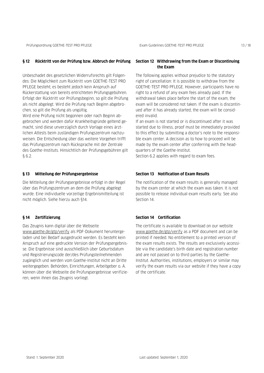Prüfungsordnung GOETHE-TEST PRO PFLEGE EXam Guidelines GOETHE-TEST PRO PFLEGE 13 / 18 / 18

#### **§ 12 Rücktritt von der Prüfung bzw. Abbruch der Prüfung**

Unbeschadet des gesetzlichen Widerrufsrechts gilt Folgendes: Die Möglichkeit zum Rücktritt vom GOETHE-TEST PRO PFLEGE besteht; es besteht jedoch kein Anspruch auf Rückerstattung von bereits entrichteten Prüfungsgebühren. Erfolgt der Rücktritt vor Prüfungsbeginn, so gilt die Prüfung als nicht abgelegt. Wird die Prüfung nach Beginn abgebrochen, so gilt die Prüfung als ungültig.

Wird eine Prüfung nicht begonnen oder nach Beginn abgebrochen und werden dafür Krankheitsgründe geltend gemacht, sind diese unverzüglich durch Vorlage eines ärztlichen Attests beim zuständigen Prüfungszentrum nachzuweisen. Die Entscheidung über das weitere Vorgehen trifft das Prüfungszentrum nach Rücksprache mit der Zentrale des Goethe-Instituts. Hinsichtlich der Prüfungsgebühren gilt § 6.2.

#### **§ 13 Mitteilung der Prüfungsergebnisse**

Die Mitteilung der Prüfungsergebnisse erfolgt in der Regel über das Prüfungszentrum an dem die Prüfung abgelegt wurde. Eine individuelle vorzeitige Ergebnismitteilung ist nicht möglich. Siehe hierzu auch §14.

#### **§ 14 Zertifizierung**

Das Zeugnis kann digital über die Webseite [www.goethe.de/gtp/verify](http://www.goethe.de/gtp/verify) als PDF-Dokument heruntergeladen und bei Bedarf ausgedruckt werden. Es besteht kein Anspruch auf eine gedruckte Version der Prüfungsergebnisse. Die Ergebnisse sind ausschließlich über Geburtsdatum und Registrierungscode der/des Prüfungsteilnehmenden zugänglich und werden vom Goethe-Institut nicht an Dritte weitergegeben. Behörden, Einrichtungen, Arbeitgeber o. Ä. können über die Webseite die Prüfungsergebnisse verifizieren, wenn ihnen das Zeugnis vorliegt.

#### **Section 12 Withdrawing from the Exam or Discontinuing the Exam**

The following applies without prejudice to the statutory right of cancellation: It is possible to withdraw from the GOETHE-TEST PRO PFLEGE. However, participants have no right to a refund of any exam fees already paid. If the withdrawal takes place before the start of the exam, the exam will be considered not taken. If the exam is discontinued after it has already started, the exam will be considered invalid.

If an exam is not started or is discontinued after it was started due to illness, proof must be immediately provided to this effect by submitting a doctor's note to the responsible exam center. A decision as to how to proceed will be made by the exam center after conferring with the headquarters of the Goethe-Institut.

Section 6.2 applies with regard to exam fees.

#### **Section 13 Notification of Exam Results**

The notification of the exam results is generally managed by the exam center at which the exam was taken. It is not possible to release individual exam results early. See also Section 14.

#### **Section 14 Certification**

The certificate is available to download on our website [www.goethe.de/gtp/verify](http://www.goethe.de/gtp/verify) as a PDF document and can be printed if needed. No entitlement to a printed version of the exam results exists. The results are exclusively accessible via the candidate's birth date and registration number and are not passed on to third parties by the Goethe-Institut. Authorities, institutions, employers or similar may verify the exam results via our website if they have a copy of the certificate.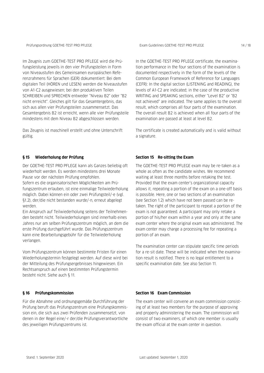Im Zeugnis zum GOETHE-TEST PRO PFLEGE wird die Prüfungsleistung jeweils in den vier Prüfungsteilen in Form von Niveaustufen des Gemeinsamen europäischen Referenzrahmens für Sprachen (GER) dokumentiert: Bei dem digitalen Teil (HÖREN und LESEN) werden die Niveaustufen von A1-C2 ausgewiesen; bei den produktiven Teilen SCHREIBEN und SPRECHEN entweder "Niveau B2" oder "B2 nicht erreicht". Gleiches gilt für das Gesamtergebnis, das sich aus allen vier Prüfungsteilen zusammensetzt. Das Gesamtergebnis B2 ist erreicht, wenn alle vier Prüfungsteile mindestens mit dem Niveau B2 abgeschlossen werden.

Das Zeugnis ist maschinell erstellt und ohne Unterschrift gültig.

#### **§ 15 Wiederholung der Prüfung**

Der GOETHE-TEST PRO PFLEGE kann als Ganzes beliebig oft wiederholt werden. Es werden mindestens drei Monate Pause vor der nächsten Prüfung empfohlen.

Sofern es die organisatorischen Möglichkeiten am Prüfungszentrum erlauben, ist eine einmalige Teilwiederholung möglich. Dabei können ein oder zwei Prüfungsteil/-e (vgl. §1.2), der/die nicht bestanden wurde/-n, erneut abgelegt werden.

Ein Anspruch auf Teilwiederholung seitens der Teilnehmenden besteht nicht. Teilwiederholungen sind innerhalb eines Jahres nur am selben Prüfungszentrum möglich, an dem die erste Prüfung durchgeführt wurde. Das Prüfungszentrum kann eine Bearbeitungsgebühr für die Teilwiederholung verlangen.

Vom Prüfungszentrum können bestimmte Fristen für einen Wiederholungstermin festgelegt werden. Auf diese wird bei der Mitteilung des Prüfungsergebnisses hingewiesen. Ein Rechtsanspruch auf einen bestimmten Prüfungstermin besteht nicht. Siehe auch § 11.

#### **§ 16 Prüfungskommission**

Für die Abnahme und ordnungsgemäße Durchführung der Prüfung beruft das Prüfungszentrum eine Prüfungskommission ein, die sich aus zwei Prüfenden zusammensetzt, von denen in der Regel eine/-r der/die Prüfungsverantwortliche des jeweiligen Prüfungszentrums ist.

In the GOETHE-TEST PRO PFLEGE certificate, the examination performance in the four sections of the examination is documented respectively in the form of the levels of the Common European Framework of Reference for Languages (CEFR): In the digital section (LISTENING and READING), the levels of A1-C2 are indicated; in the case of the productive WRITING and SPEAKING sections, either "Level B2" or "B2 not achieved" are indicated. The same applies to the overall result, which comprises all four parts of the examination. The overall result B2 is achieved when all four parts of the examination are passed at least at level B2.

The certificate is created automatically and is valid without a signature.

#### **Section 15 Re-sitting the Exam**

The GOETHE-TEST PRO PFLEGE exam may be re-taken as a whole as often as the candidate wishes. We recommend waiting at least three months before retaking the test. Provided that the exam center's organizational capacity allows it, repeating a portion of the exam on a one-off basis is possible. Here, one or two sections of an examination (see Section 1.2) which have not been passed can be retaken. The right of the participant to repeat a portion of the exam is not guaranteed. A participant may only retake a portion of his/her exam within a year and only at the same exam center where the original exam was administered. The exam center may charge a processing fee for repeating a portion of an exam.

The examination center can stipulate specific time periods for a re-sit date. These will be indicated when the examination result is notified. There is no legal entitlement to a specific examination date. See also Section 11.

#### **Section 16 Exam Commission**

The exam center will convene an exam commission consisting of at least two members for the purpose of approving and properly administering the exam. The commission will consist of two examiners, of which one member is usually the exam official at the exam center in question.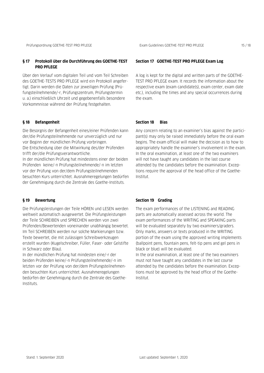Prüfungsordnung GOETHE-TEST PRO PFLEGE EXam Guidelines GOETHE-TEST PRO PFLEGE 15/18

#### **§ 17 Protokoll über die Durchführung des GOETHE-TEST PRO PFLEGE**

Über den Verlauf vom digitalen Teil und vom Teil Schreiben des GOETHE-TESTS PRO PFLEGE wird ein Protokoll angefertigt. Darin werden die Daten zur jeweiligen Prüfung (Prüfungsteilnehmende/-r, Prüfungszentrum, Prüfungstermin u. a.) einschließlich Uhrzeit und gegebenenfalls besondere Vorkommnisse während der Prüfung festgehalten.

#### **§ 18 Befangenheit**

Die Besorgnis der Befangenheit eines/einer Prüfenden kann der/die Prüfungsteilnehmende nur unverzüglich und nur vor Beginn der mündlichen Prüfung vorbringen. Die Entscheidung über die Mitwirkung des/der Prüfenden trifft der/die Prüfungsverantwortliche. In der mündlichen Prüfung hat mindestens einer der beiden Prüfenden keine/-n Prüfungsteilnehmende/-n im letzten

vor der Prüfung von der/dem Prüfungsteilnehmenden besuchten Kurs unterrichtet. Ausnahmeregelungen bedürfen der Genehmigung durch die Zentrale des Goethe-Instituts.

#### **§ 19 Bewertung**

Die Prüfungsleistungen der Teile HÖREN und LESEN werden weltweit automatisch ausgewertet. Die Prüfungsleistungen der Teile SCHREIBEN und SPRECHEN werden von zwei Prüfenden/Bewertenden voneinander unabhängig bewertet. Im Teil SCHREIBEN werden nur solche Markierungen bzw. Texte bewertet, die mit zulässigen Schreibwerkzeugen erstellt wurden (Kugelschreiber, Füller, Faser- oder Gelstifte in Schwarz oder Blau).

In der mündlichen Prüfung hat mindesten eine/-r der beiden Prüfenden keine/-n Prüfungsteilnehmende/-n im letzten vor der Prüfung von der/dem Prüfungsteilnehmenden besuchten Kurs unterrichtet. Ausnahmeregelungen bedürfen der Genehmigung durch die Zentrale des Goethe-Instituts.

#### **Section 17 GOETHE-TEST PRO PFLEGE Exam Log**

A log is kept for the digital and written parts of the GOETHE-TEST PRO PFLEGE exam. It records the information about the respective exam (exam candidate(s), exam center, exam date etc.), including the times and any special occurrences during the exam.

#### **Section 18 Bias**

Any concern relating to an examiner's bias against the participant(s) may only be raised immediately before the oral exam begins. The exam official will make the decision as to how to appropriately handle the examiner's involvement in the exam. In the oral examination, at least one of the two examiners will not have taught any candidates in the last course attended by the candidates before the examination. Exceptions require the approval of the head office of the Goethe-Institut.

#### **Section 19 Grading**

The exam performances of the LISTENING and READING parts are automatically assessed across the world. The exam performances of the WRITING and SPEAKING parts will be evaluated separately by two examiners/graders. Only marks, answers or texts produced in the WRITING portion of the exam using the approved writing implements (ballpoint pens, fountain pens, felt-tip pens and gel pens in black or blue) will be evaluated.

In the oral examination, at least one of the two examiners must not have taught any candidates in the last course attended by the candidates before the examination. Exceptions must be approved by the head office of the Goethe-Institut.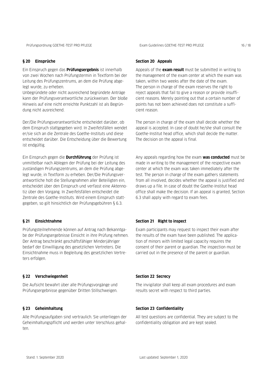#### **§ 20 Einsprüche**

Ein Einspruch gegen das **Prüfungsergebnis** ist innerhalb von zwei Wochen nach Prüfungstermin in Textform bei der Leitung des Prüfungszentrums, an dem die Prüfung abgelegt wurde, zu erheben.

Unbegründete oder nicht ausreichend begründete Anträge kann der Prüfungsverantwortliche zurückweisen. Der bloße Hinweis auf eine nicht erreichte Punktzahl ist als Begründung nicht ausreichend.

Der/Die Prüfungsverantwortliche entscheidet darüber, ob dem Einspruch stattgegeben wird. In Zweifelsfällen wendet er/sie sich an die Zentrale des Goethe-Instituts und diese entscheidet darüber. Die Entscheidung über die Bewertung ist endgültig.

Ein Einspruch gegen die **Durchführung** der Prüfung ist unmittelbar nach Ablegen der Prüfung bei der Leitung des zuständigen Prüfungszentrums, an dem die Prüfung abgelegt wurde, in Textform zu erheben. Der/Die Prüfungsverantwortliche holt die Stellungnahmen aller Beteiligten ein, entscheidet über den Einspruch und verfasst eine Aktennotiz über den Vorgang. In Zweifelsfällen entscheidet die Zentrale des Goethe-Instituts. Wird einem Einspruch stattgegeben, so gilt hinsichtlich der Prüfungsgebühren § 6.3.

#### **§ 21 Einsichtnahme**

Prüfungsteilnehmende können auf Antrag nach Bekanntgabe der Prüfungsergebnisse Einsicht in ihre Prüfung nehmen. Der Antrag beschränkt geschäftsfähiger Minderjähriger bedarf der Einwilligung des gesetzlichen Vertreters. Die Einsichtnahme muss in Begleitung des gesetzlichen Vertreters erfolgen.

#### **§ 22 Verschwiegenheit**

Die Aufsicht bewahrt über alle Prüfungsvorgänge und Prüfungsergebnisse gegenüber Dritten Stillschweigen.

#### **§ 23 Geheimhaltung**

Alle Prüfungsaufgaben sind vertraulich. Sie unterliegen der Geheimhaltungspflicht und werden unter Verschluss gehalten.

#### **Section 20 Appeals**

Appeals of the **exam result** must be submitted in writing to the management of the exam center at which the exam was taken, within two weeks after the date of the exam. The person in charge of the exam reserves the right to reject appeals that fail to give a reason or provide insufficient reasons. Merely pointing out that a certain number of points has not been achieved does not constitute a sufficient reason.

The person in charge of the exam shall decide whether the appeal is accepted. In case of doubt he/she shall consult the Goethe-Institut head office, which shall decide the matter. The decision on the appeal is final.

Any appeals regarding how the exam **was conducted** must be made in writing to the management of the respective exam center at which the exam was taken immediately after the test. The person in charge of the exam gathers statements from all involved, decides whether the appeal is justified and draws up a file. In case of doubt the Goethe-Institut head office shall make the decision. If an appeal is granted, Section 6.3 shall apply with regard to exam fees.

#### **Section 21 Right to inspect**

Exam participants may request to inspect their exam after the results of the exam have been published. The application of minors with limited legal capacity requires the consent of their parent or guardian. The inspection must be carried out in the presence of the parent or guardian.

#### **Section 22 Secrecy**

The invigilator shall keep all exam procedures and exam results secret with respect to third parties.

#### **Section 23 Confidentiality**

All test questions are confidential. They are subject to the confidentiality obligation and are kept sealed.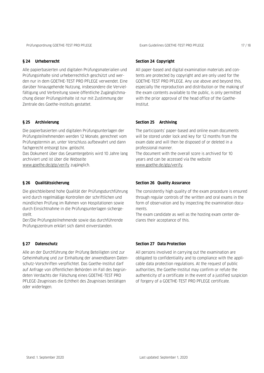#### **§ 24 Urheberrecht**

Alle papierbasierten und digitalen Prüfungsmaterialien und Prüfungsinhalte sind urheberrechtlich geschützt und werden nur in dem GOETHE-TEST PRO PFLEGE verwendet. Eine darüber hinausgehende Nutzung, insbesondere die Vervielfältigung und Verbreitung sowie öffentliche Zugänglichmachung dieser Prüfungsinhalte ist nur mit Zustimmung der Zentrale des Goethe-Instituts gestattet.

#### **§ 25 Archivierung**

Die papierbasierten und digitalen Prüfungsunterlagen der Prüfungsteilnehmenden werden 12 Monate, gerechnet vom Prüfungstermin an, unter Verschluss aufbewahrt und dann fachgerecht entsorgt bzw. gelöscht.

Das Dokument über das Gesamtergebnis wird 10 Jahre lang archiviert und ist über die Webseite

[www.goethe.de/gtp/verify](http://www.goethe.de/gtp/verify) zugänglich.

#### **§ 26 Qualitätssicherung**

Die gleichbleibend hohe Qualität der Prüfungsdurchführung wird durch regelmäßige Kontrollen der schriftlichen und mündlichen Prüfung im Rahmen von Hospitationen sowie durch Einsichtnahme in die Prüfungsunterlagen sichergestellt.

Der/Die Prüfungsteilnehmende sowie das durchführende Prüfungszentrum erklärt sich damit einverstanden.

#### **§ 27 Datenschutz**

Alle an der Durchführung der Prüfung Beteiligten sind zur Geheimhaltung und zur Einhaltung der anwendbaren Datenschutz-Vorschriften verpflichtet. Das Goethe-Institut darf auf Anfrage von öffentlichen Behörden im Fall des begründeten Verdachts der Fälschung eines GOETHE-TEST PRO PFLEGE-Zeugnisses die Echtheit des Zeugnisses bestätigen oder widerlegen.

#### **Section 24 Copyright**

All paper-based and digital examination materials and contents are protected by copyright and are only used for the GOETHE-TEST PRO PFLEGE. Any use above and beyond this, especially the reproduction and distribution or the making of the exam contents available to the public, is only permitted with the prior approval of the head office of the Goethe-Institut.

#### **Section 25 Archiving**

The participants' paper-based and online exam documents will be stored under lock and key for 12 months from the exam date and will then be disposed of or deleted in a professional manner.

The document with the overall score is archived for 10 years and can be accessed via the website [www.goethe.de/gtp/verify.](http://www.goethe.de/gtp/verify)

#### **Section 26 Quality Assurance**

The consistently high quality of the exam procedure is ensured through regular controls of the written and oral exams in the form of observation and by inspecting the examination documents.

The exam candidate as well as the hosting exam center declares their acceptance of this.

#### **Section 27 Data Protection**

All persons involved in carrying out the examination are obligated to confidentiality and to compliance with the applicable data protection regulations. At the request of public authorities, the Goethe-Institut may confirm or refute the authenticity of a certificate in the event of a justified suspicion of forgery of a GOETHE-TEST PRO PFLEGE certificate.